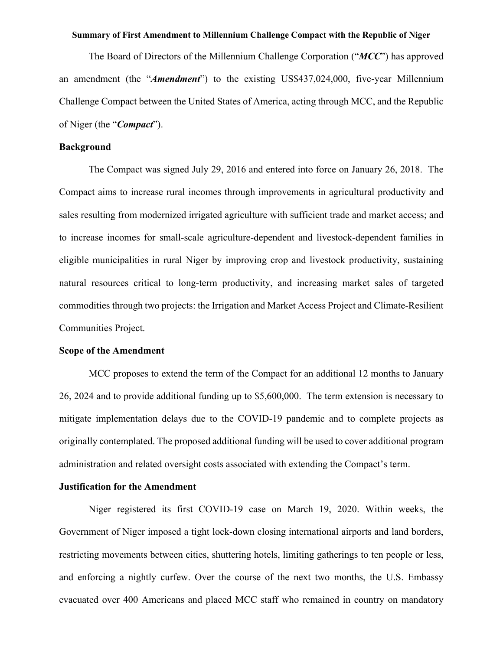#### **Summary of First Amendment to Millennium Challenge Compact with the Republic of Niger**

The Board of Directors of the Millennium Challenge Corporation ("*MCC*") has approved an amendment (the "*Amendment*") to the existing US\$437,024,000, five-year Millennium Challenge Compact between the United States of America, acting through MCC, and the Republic of Niger (the "*Compact*").

### **Background**

The Compact was signed July 29, 2016 and entered into force on January 26, 2018. The Compact aims to increase rural incomes through improvements in agricultural productivity and sales resulting from modernized irrigated agriculture with sufficient trade and market access; and to increase incomes for small-scale agriculture-dependent and livestock-dependent families in eligible municipalities in rural Niger by improving crop and livestock productivity, sustaining natural resources critical to long-term productivity, and increasing market sales of targeted commodities through two projects: the Irrigation and Market Access Project and Climate-Resilient Communities Project.

#### **Scope of the Amendment**

MCC proposes to extend the term of the Compact for an additional 12 months to January 26, 2024 and to provide additional funding up to \$5,600,000. The term extension is necessary to mitigate implementation delays due to the COVID-19 pandemic and to complete projects as originally contemplated. The proposed additional funding will be used to cover additional program administration and related oversight costs associated with extending the Compact's term.

### **Justification for the Amendment**

Niger registered its first COVID-19 case on March 19, 2020. Within weeks, the Government of Niger imposed a tight lock-down closing international airports and land borders, restricting movements between cities, shuttering hotels, limiting gatherings to ten people or less, and enforcing a nightly curfew. Over the course of the next two months, the U.S. Embassy evacuated over 400 Americans and placed MCC staff who remained in country on mandatory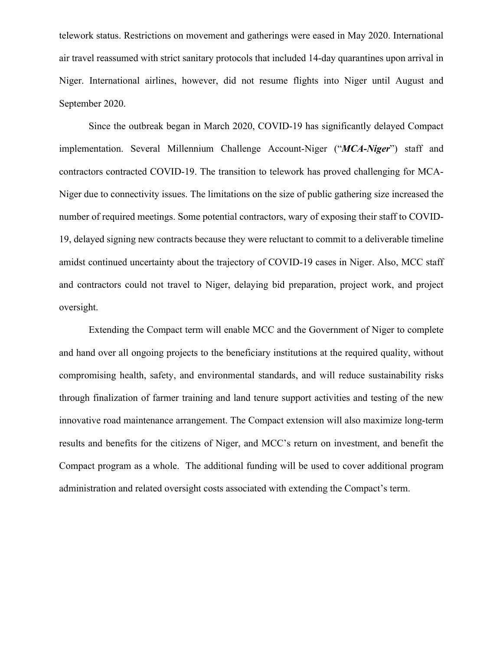telework status. Restrictions on movement and gatherings were eased in May 2020. International air travel reassumed with strict sanitary protocols that included 14-day quarantines upon arrival in Niger. International airlines, however, did not resume flights into Niger until August and September 2020.

Since the outbreak began in March 2020, COVID-19 has significantly delayed Compact implementation. Several Millennium Challenge Account-Niger ("*MCA-Niger*") staff and contractors contracted COVID-19. The transition to telework has proved challenging for MCA-Niger due to connectivity issues. The limitations on the size of public gathering size increased the number of required meetings. Some potential contractors, wary of exposing their staff to COVID-19, delayed signing new contracts because they were reluctant to commit to a deliverable timeline amidst continued uncertainty about the trajectory of COVID-19 cases in Niger. Also, MCC staff and contractors could not travel to Niger, delaying bid preparation, project work, and project oversight.

Extending the Compact term will enable MCC and the Government of Niger to complete and hand over all ongoing projects to the beneficiary institutions at the required quality, without compromising health, safety, and environmental standards, and will reduce sustainability risks through finalization of farmer training and land tenure support activities and testing of the new innovative road maintenance arrangement. The Compact extension will also maximize long-term results and benefits for the citizens of Niger, and MCC's return on investment, and benefit the Compact program as a whole. The additional funding will be used to cover additional program administration and related oversight costs associated with extending the Compact's term.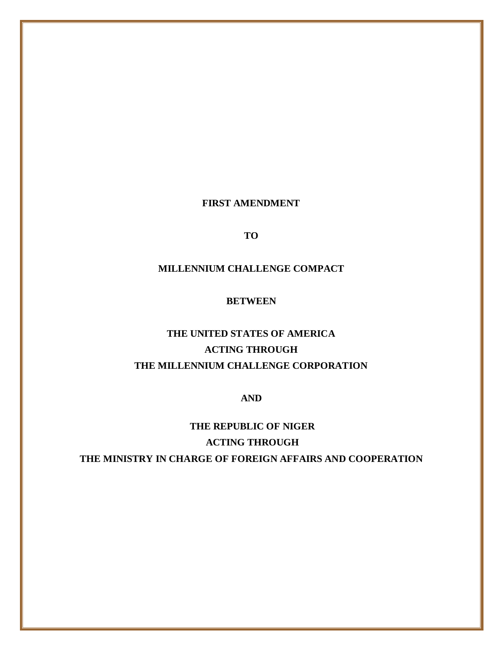**FIRST AMENDMENT**

**TO**

## **MILLENNIUM CHALLENGE COMPACT**

## **BETWEEN**

# **THE UNITED STATES OF AMERICA ACTING THROUGH THE MILLENNIUM CHALLENGE CORPORATION**

**AND**

**THE REPUBLIC OF NIGER ACTING THROUGH THE MINISTRY IN CHARGE OF FOREIGN AFFAIRS AND COOPERATION**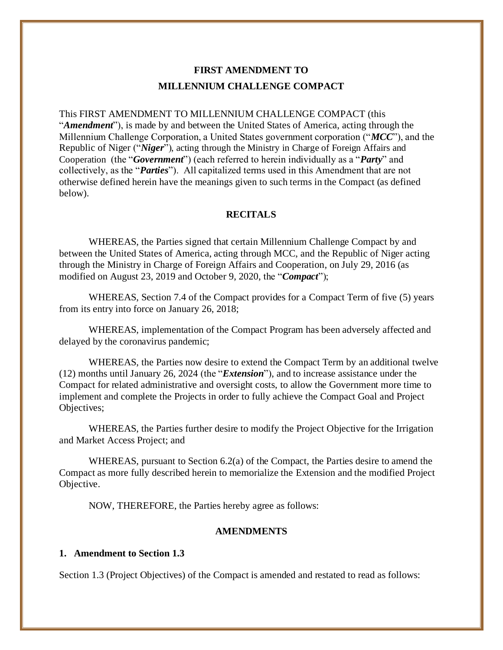## **FIRST AMENDMENT TO MILLENNIUM CHALLENGE COMPACT**

This FIRST AMENDMENT TO MILLENNIUM CHALLENGE COMPACT (this "*Amendment*"), is made by and between the United States of America, acting through the Millennium Challenge Corporation, a United States government corporation ("*MCC*"), and the Republic of Niger ("*Niger*"), acting through the Ministry in Charge of Foreign Affairs and Cooperation (the "*Government*") (each referred to herein individually as a "*Party*" and collectively, as the "*Parties*"). All capitalized terms used in this Amendment that are not otherwise defined herein have the meanings given to such terms in the Compact (as defined below).

#### **RECITALS**

WHEREAS, the Parties signed that certain Millennium Challenge Compact by and between the United States of America, acting through MCC, and the Republic of Niger acting through the Ministry in Charge of Foreign Affairs and Cooperation, on July 29, 2016 (as modified on August 23, 2019 and October 9, 2020, the "*Compact*");

WHEREAS, Section 7.4 of the Compact provides for a Compact Term of five (5) years from its entry into force on January 26, 2018;

WHEREAS, implementation of the Compact Program has been adversely affected and delayed by the coronavirus pandemic;

WHEREAS, the Parties now desire to extend the Compact Term by an additional twelve (12) months until January 26, 2024 (the "*Extension*"), and to increase assistance under the Compact for related administrative and oversight costs, to allow the Government more time to implement and complete the Projects in order to fully achieve the Compact Goal and Project Objectives;

WHEREAS, the Parties further desire to modify the Project Objective for the Irrigation and Market Access Project; and

WHEREAS, pursuant to Section 6.2(a) of the Compact, the Parties desire to amend the Compact as more fully described herein to memorialize the Extension and the modified Project Objective.

NOW, THEREFORE, the Parties hereby agree as follows:

#### **AMENDMENTS**

#### **1. Amendment to Section 1.3**

Section 1.3 (Project Objectives) of the Compact is amended and restated to read as follows: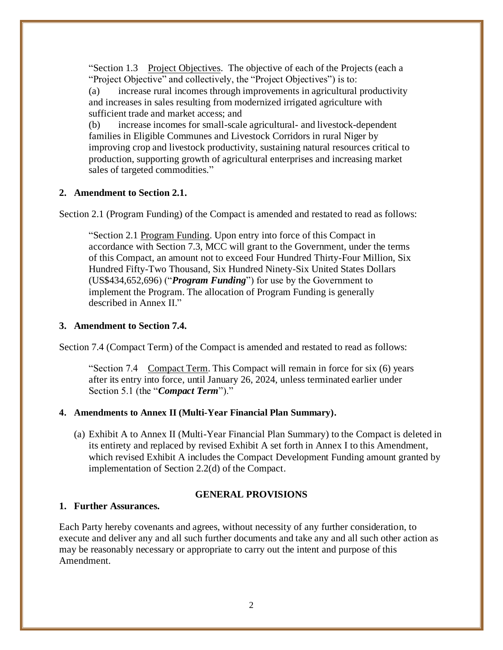"Section 1.3 Project Objectives. The objective of each of the Projects (each a "Project Objective" and collectively, the "Project Objectives") is to:

(a) increase rural incomes through improvements in agricultural productivity and increases in sales resulting from modernized irrigated agriculture with sufficient trade and market access; and

(b) increase incomes for small-scale agricultural- and livestock-dependent families in Eligible Communes and Livestock Corridors in rural Niger by improving crop and livestock productivity, sustaining natural resources critical to production, supporting growth of agricultural enterprises and increasing market sales of targeted commodities."

#### **2. Amendment to Section 2.1.**

Section 2.1 (Program Funding) of the Compact is amended and restated to read as follows:

"Section 2.1 Program Funding. Upon entry into force of this Compact in accordance with Section 7.3, MCC will grant to the Government, under the terms of this Compact, an amount not to exceed Four Hundred Thirty-Four Million, Six Hundred Fifty-Two Thousand, Six Hundred Ninety-Six United States Dollars (US\$434,652,696) ("*Program Funding*") for use by the Government to implement the Program. The allocation of Program Funding is generally described in Annex II."

### **3. Amendment to Section 7.4.**

Section 7.4 (Compact Term) of the Compact is amended and restated to read as follows:

"Section 7.4 Compact Term. This Compact will remain in force for six (6) years after its entry into force, until January 26, 2024, unless terminated earlier under Section 5.1 (the "*Compact Term*")."

#### **4. Amendments to Annex II (Multi-Year Financial Plan Summary).**

(a) Exhibit A to Annex II (Multi-Year Financial Plan Summary) to the Compact is deleted in its entirety and replaced by revised Exhibit A set forth in Annex I to this Amendment, which revised Exhibit A includes the Compact Development Funding amount granted by implementation of Section 2.2(d) of the Compact.

## **GENERAL PROVISIONS**

## **1. Further Assurances.**

Each Party hereby covenants and agrees, without necessity of any further consideration, to execute and deliver any and all such further documents and take any and all such other action as may be reasonably necessary or appropriate to carry out the intent and purpose of this Amendment.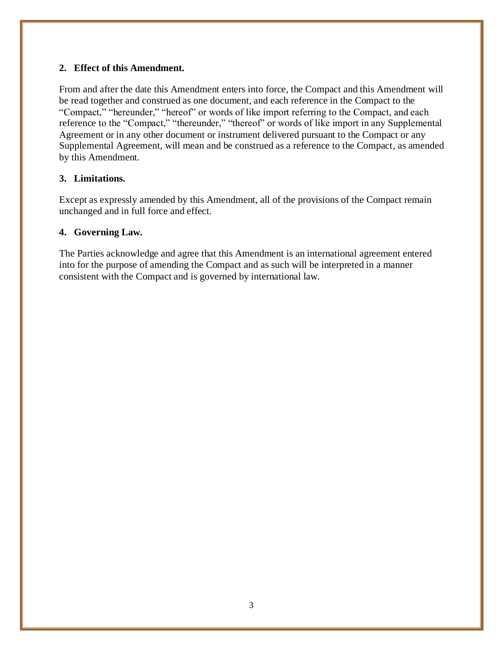## **2. Effect of this Amendment.**

From and after the date this Amendment enters into force, the Compact and this Amendment will be read together and construed as one document, and each reference in the Compact to the "Compact," "hereunder," "hereof" or words of like import referring to the Compact, and each reference to the "Compact," "thereunder," "thereof" or words of like import in any Supplemental Agreement or in any other document or instrument delivered pursuant to the Compact or any Supplemental Agreement, will mean and be construed as a reference to the Compact, as amended by this Amendment.

## **3. Limitations.**

Except as expressly amended by this Amendment, all of the provisions of the Compact remain unchanged and in full force and effect.

## **4. Governing Law.**

The Parties acknowledge and agree that this Amendment is an international agreement entered into for the purpose of amending the Compact and as such will be interpreted in a manner consistent with the Compact and is governed by international law.